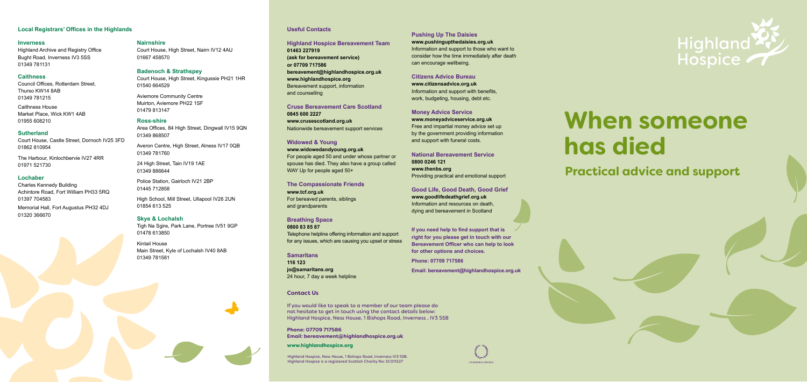# **When someone has died**

## **Practical advice and support**

Highland Hospice, Ness House, 1 Bishops Road, Inverness IV3 5SB. Highland Hospice is a registered Scottish Charity No: SC011227

#### **Contact Us**

If you would like to speak to a member of our team please do not hesitate to get in touch using the contact details below: Highland Hospice, Ness House, 1 Bishops Road, Inverness , IV3 5SB

**www.widowedandyoung.org.uk** For people aged 50 and under whose partner or spouse has died. They also have a group called WAY Up for people aged 50+

**Phone: 07709 717586 Email: bereavement@highlandhospice.org.uk** 

**www.highlandhospice.org**

#### **Useful Contacts**

**Highland Hospice Bereavement Team 01463 227919 (ask for bereavement service) or 07709 717586 bereavement@highlandhospice.org.uk www.highlandhospice.org**  Bereavement support, information

and counselling

**Cruse Bereavement Care Scotland**

**0845 600 2227 www.crusescotland.org.uk** Nationwide bereavement support services

#### **Widowed & Young**

**The Compassionate Friends www.tcf.org.uk** For bereaved parents, siblings and grandparents

### **Breathing Space**

**0800 83 85 87**  Telephone helpline offering information and support for any issues, which are causing you upset or stress

#### **Samaritans**

**116 123 jo@samaritans.org**  24 hour, 7 day a week helpline

## **Pushing Up The Daisies**

**www.pushingupthedaisies.org.uk**

Information and support to those who want to consider how the time immediately after death can encourage wellbeing.

#### **Citizens Advice Bureau**

**www.citizensadvice.org.uk** Information and support with benefits, work, budgeting, housing, debt etc.

#### **Money Advice Service**

**www.moneyadviceservice.org.uk** Free and impartial money advice set up by the government providing information and support with funeral costs.

#### **National Bereavement Service 0800 0246 121 www.thenbs.org**

Providing practical and emotional support

**Good Life, Good Death, Good Grief www.goodlifedeathgrief.org.uk** Information and resources on death,

dying and bereavement in Scotland

**If you need help to find support that is right for you please get in touch with our Bereavement Officer who can help to look for other options and choices.**

**Phone: 07709 717586**

**Email: bereavement@highlandhospice.org.uk**

**INVESTOR IN PEOPLE** 



#### **Inverness**

Highland Archive and Registry Office Bught Road, Inverness IV3 5SS 01349 781131

#### **Caithness**

Council Offices, Rotterdam Street, Thurso KW14 8AB 01349 781215

Caithness House Market Place, Wick KW1 4AB 01955 608210

#### **Sutherland**

Court House, Castle Street, Dornoch IV25 3FD 01862 810954

The Harbour, Kinlochbervie IV27 4RR 01971 521730

#### **Lochaber**

Charles Kennedy Building Achintore Road, Fort William PH33 5RQ 01397 704583

Memorial Hall, Fort Augustus PH32 4DJ 01320 366670

#### **Nairnshire**

Court House, High Street, Nairn IV12 4AU 01667 458570

#### **Badenoch & Strathspey**

Court House, High Street, Kingussie PH21 1HR 01540 664529

Aviemore Community Centre Muirton, Aviemore PH22 1SF 01479 813147

#### **Ross-shire**

Area Offices, 84 High Street, Dingwall IV15 9QN 01349 868507

Averon Centre, High Street, Alness IV17 0QB 01349 781760

24 High Street, Tain IV19 1AE 01349 886644

Police Station, Gairloch IV21 2BP 01445 712858

High School, Mill Street, Ullapool IV26 2UN 01854 613 525

#### **Skye & Lochalsh**

Tigh Na Sgire, Park Lane, Portree IV51 9GP 01478 613850

Kintail House Main Street, Kyle of Lochalsh IV40 8AB 01349 781581

#### **Local Registrars' Offices in the Highlands**